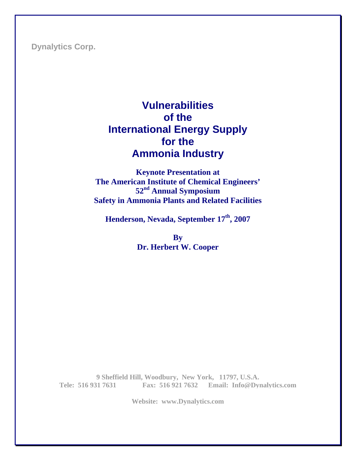**Dynalytics Corp.** 

# **Vulnerabilities of the International Energy Supply for the Ammonia Industry**

**Keynote Presentation at The American Institute of Chemical Engineers' 52nd Annual Symposium Safety in Ammonia Plants and Related Facilities** 

**Henderson, Nevada, September 17th, 2007** 

**By Dr. Herbert W. Cooper** 

**9 Sheffield Hill, Woodbury, New York, 11797, U.S.A. Tele: 516 931 7631 Fax: 516 921 7632 Email: Info@Dynalytics.com**

**Website: www.Dynalytics.com**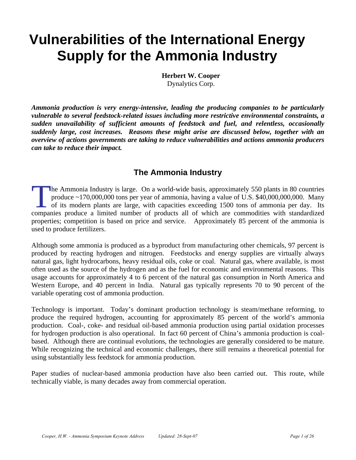# **Vulnerabilities of the International Energy Supply for the Ammonia Industry**

**Herbert W. Cooper**  Dynalytics Corp.

*Ammonia production is very energy-intensive, leading the producing companies to be particularly vulnerable to several feedstock-related issues including more restrictive environmental constraints, a sudden unavailability of sufficient amounts of feedstock and fuel, and relentless, occasionally suddenly large, cost increases. Reasons these might arise are discussed below, together with an overview of actions governments are taking to reduce vulnerabilities and actions ammonia producers can take to reduce their impact.* 

## **The Ammonia Industry**

he Ammonia Industry is large. On a world-wide basis, approximately 550 plants in 80 countries produce  $\sim$  170,000,000 tons per year of ammonia, having a value of U.S. \$40,000,000,000. Many of its modern plants are large, with capacities exceeding 1500 tons of ammonia per day. Its The Ammonia Industry is large. On a world-wide basis, approximately 550 plants in 80 countries produce ~170,000,000 tons per year of ammonia, having a value of U.S. \$40,000,000,000. Many of its modern plants are large, wit properties; competition is based on price and service. Approximately 85 percent of the ammonia is used to produce fertilizers.

Although some ammonia is produced as a byproduct from manufacturing other chemicals, 97 percent is produced by reacting hydrogen and nitrogen. Feedstocks and energy supplies are virtually always natural gas, light hydrocarbons, heavy residual oils, coke or coal. Natural gas, where available, is most often used as the source of the hydrogen and as the fuel for economic and environmental reasons. This usage accounts for approximately 4 to 6 percent of the natural gas consumption in North America and Western Europe, and 40 percent in India. Natural gas typically represents 70 to 90 percent of the variable operating cost of ammonia production.

Technology is important. Today's dominant production technology is steam/methane reforming, to produce the required hydrogen, accounting for approximately 85 percent of the world's ammonia production. Coal-, coke- and residual oil-based ammonia production using partial oxidation processes for hydrogen production is also operational. In fact 60 percent of China's ammonia production is coalbased. Although there are continual evolutions, the technologies are generally considered to be mature. While recognizing the technical and economic challenges, there still remains a theoretical potential for using substantially less feedstock for ammonia production.

Paper studies of nuclear-based ammonia production have also been carried out. This route, while technically viable, is many decades away from commercial operation.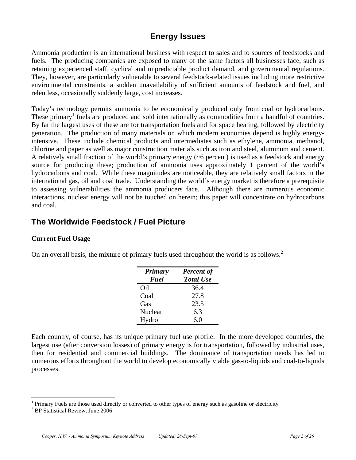## **Energy Issues**

Ammonia production is an international business with respect to sales and to sources of feedstocks and fuels. The producing companies are exposed to many of the same factors all businesses face, such as retaining experienced staff, cyclical and unpredictable product demand, and governmental regulations. They, however, are particularly vulnerable to several feedstock-related issues including more restrictive environmental constraints, a sudden unavailability of sufficient amounts of feedstock and fuel, and relentless, occasionally suddenly large, cost increases.

Today's technology permits ammonia to be economically produced only from coal or hydrocarbons. These primary<sup>1</sup> fuels are produced and sold internationally as commodities from a handful of countries. By far the largest uses of these are for transportation fuels and for space heating, followed by electricity generation. The production of many materials on which modern economies depend is highly energyintensive. These include chemical products and intermediates such as ethylene, ammonia, methanol, chlorine and paper as well as major construction materials such as iron and steel, aluminum and cement. A relatively small fraction of the world's primary energy  $({\sim}6$  percent) is used as a feedstock and energy source for producing these; production of ammonia uses approximately 1 percent of the world's hydrocarbons and coal. While these magnitudes are noticeable, they are relatively small factors in the international gas, oil and coal trade. Understanding the world's energy market is therefore a prerequisite to assessing vulnerabilities the ammonia producers face. Although there are numerous economic interactions, nuclear energy will not be touched on herein; this paper will concentrate on hydrocarbons and coal.

## **The Worldwide Feedstock / Fuel Picture**

#### **Current Fuel Usage**

On an overall basis, the mixture of primary fuels used throughout the world is as follows.<sup>2</sup>

| <b>Primary</b> | <b>Percent of</b> |  |
|----------------|-------------------|--|
| Fuel           | <b>Total Use</b>  |  |
| Oil            | 36.4              |  |
| Coal           | 27.8              |  |
| Gas            | 23.5              |  |
| Nuclear        | 6.3               |  |
| Hydro          | 6.0               |  |

Each country, of course, has its unique primary fuel use profile. In the more developed countries, the largest use (after conversion losses) of primary energy is for transportation, followed by industrial uses, then for residential and commercial buildings. The dominance of transportation needs has led to numerous efforts throughout the world to develop economically viable gas-to-liquids and coal-to-liquids processes.

 $\overline{a}$ 

<sup>1</sup> Primary Fuels are those used directly or converted to other types of energy such as gasoline or electricity 2

<sup>&</sup>lt;sup>2</sup> BP Statistical Review, June 2006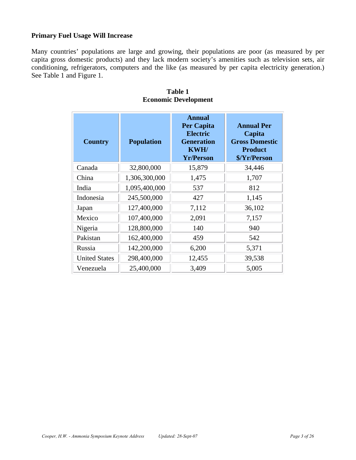#### **Primary Fuel Usage Will Increase**

Many countries' populations are large and growing, their populations are poor (as measured by per capita gross domestic products) and they lack modern society's amenities such as television sets, air conditioning, refrigerators, computers and the like (as measured by per capita electricity generation.) See Table 1 and Figure 1.

| <b>Country</b>       | <b>Population</b> | <b>Annual</b><br><b>Per Capita</b><br><b>Electric</b><br><b>Generation</b><br><b>KWH/</b><br><b>Yr/Person</b> | <b>Annual Per</b><br>Capita<br><b>Gross Domestic</b><br><b>Product</b><br>\$/Yr/Person |
|----------------------|-------------------|---------------------------------------------------------------------------------------------------------------|----------------------------------------------------------------------------------------|
| Canada               | 32,800,000        | 15,879                                                                                                        | 34,446                                                                                 |
| China                | 1,306,300,000     | 1,475                                                                                                         | 1,707                                                                                  |
| India                | 1,095,400,000     | 537                                                                                                           | 812                                                                                    |
| Indonesia            | 245,500,000       | 427                                                                                                           | 1,145                                                                                  |
| Japan                | 127,400,000       | 7,112                                                                                                         | 36,102                                                                                 |
| Mexico               | 107,400,000       | 2,091                                                                                                         | 7,157                                                                                  |
| Nigeria              | 128,800,000       | 140                                                                                                           | 940                                                                                    |
| Pakistan             | 162,400,000       | 459                                                                                                           | 542                                                                                    |
| Russia               | 142,200,000       | 6,200                                                                                                         | 5,371                                                                                  |
| <b>United States</b> | 298,400,000       | 12,455                                                                                                        | 39,538                                                                                 |
| Venezuela            | 25,400,000        | 3,409                                                                                                         | 5,005                                                                                  |

#### **Table 1 Economic Development**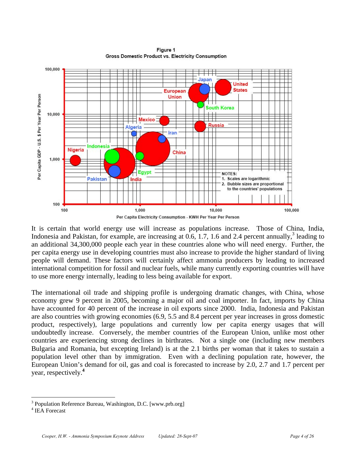

Figure 1 **Gross Domestic Product vs. Electricity Consumption** 

It is certain that world energy use will increase as populations increase. Those of China, India, Indonesia and Pakistan, for example, are increasing at  $0.6$ , 1.7, 1.6 and 2.4 percent annually,<sup>3</sup> leading to an additional 34,300,000 people each year in these countries alone who will need energy. Further, the per capita energy use in developing countries must also increase to provide the higher standard of living people will demand. These factors will certainly affect ammonia producers by leading to increased international competition for fossil and nuclear fuels, while many currently exporting countries will have to use more energy internally, leading to less being available for export.

The international oil trade and shipping profile is undergoing dramatic changes, with China, whose economy grew 9 percent in 2005, becoming a major oil and coal importer. In fact, imports by China have accounted for 40 percent of the increase in oil exports since 2000. India, Indonesia and Pakistan are also countries with growing economies (6.9, 5.5 and 8.4 percent per year increases in gross domestic product, respectively), large populations and currently low per capita energy usages that will undoubtedly increase. Conversely, the member countries of the European Union, unlike most other countries are experiencing strong declines in birthrates. Not a single one (including new members Bulgaria and Romania, but excepting Ireland) is at the 2.1 births per woman that it takes to sustain a population level other than by immigration. Even with a declining population rate, however, the European Union's demand for oil, gas and coal is forecasted to increase by 2.0, 2.7 and 1.7 percent per year, respectively.**<sup>4</sup>**

 $\overline{a}$ 

<sup>3</sup> Population Reference Bureau, Washington, D.C. [www.prb.org]

<sup>4</sup> IEA Forecast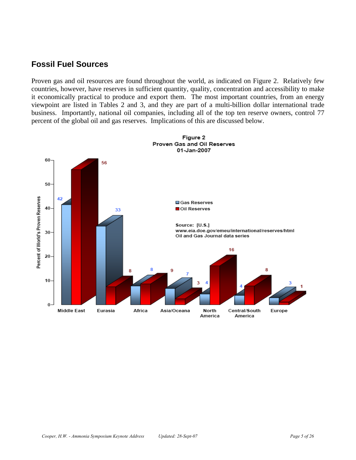## **Fossil Fuel Sources**

Proven gas and oil resources are found throughout the world, as indicated on Figure 2. Relatively few countries, however, have reserves in sufficient quantity, quality, concentration and accessibility to make it economically practical to produce and export them. The most important countries, from an energy viewpoint are listed in Tables 2 and 3, and they are part of a multi-billion dollar international trade business. Importantly, national oil companies, including all of the top ten reserve owners, control 77 percent of the global oil and gas reserves. Implications of this are discussed below.

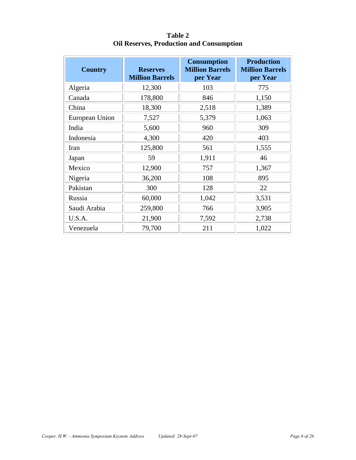| <b>Country</b> | <b>Reserves</b><br><b>Million Barrels</b> | <b>Consumption</b><br><b>Million Barrels</b><br>per Year | <b>Production</b><br><b>Million Barrels</b><br>per Year |
|----------------|-------------------------------------------|----------------------------------------------------------|---------------------------------------------------------|
| Algeria        | 12,300                                    | 103                                                      | 775                                                     |
| Canada         | 178,800                                   | 846                                                      | 1,150                                                   |
| China          | 18,300                                    | 2,518                                                    | 1,389                                                   |
| European Union | 7,527                                     | 5,379                                                    | 1,063                                                   |
| India          | 5,600                                     | 960                                                      | 309                                                     |
| Indonesia      | 4,300                                     | 420                                                      | 403                                                     |
| Iran           | 125,800                                   | 561                                                      | 1,555                                                   |
| Japan          | 59                                        | 1,911                                                    | 46                                                      |
| Mexico         | 12,900                                    | 757                                                      | 1,367                                                   |
| Nigeria        | 36,200                                    | 108                                                      | 895                                                     |
| Pakistan       | 300                                       | 128                                                      | 22                                                      |
| Russia         | 60,000                                    | 1,042                                                    | 3,531                                                   |
| Saudi Arabia   | 259,800                                   | 766                                                      | 3,905                                                   |
| U.S.A.         | 21,900                                    | 7,592                                                    | 2,738                                                   |
| Venezuela      | 79,700                                    | 211                                                      | 1,022                                                   |

**Table 2 Oil Reserves, Production and Consumption**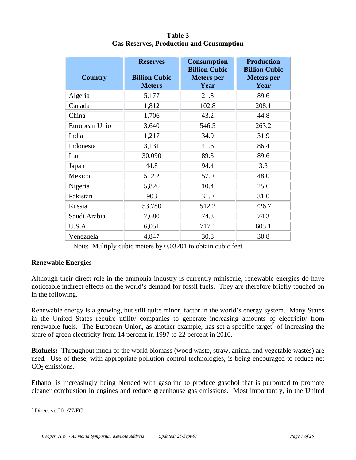| <b>Country</b> | <b>Reserves</b><br><b>Billion Cubic</b><br><b>Meters</b> | <b>Consumption</b><br><b>Billion Cubic</b><br><b>Meters</b> per<br>Year | <b>Production</b><br><b>Billion Cubic</b><br><b>Meters</b> per<br>Year |
|----------------|----------------------------------------------------------|-------------------------------------------------------------------------|------------------------------------------------------------------------|
| Algeria        | 5,177                                                    | 21.8                                                                    | 89.6                                                                   |
| Canada         | 1,812                                                    | 102.8                                                                   | 208.1                                                                  |
| China          | 1,706                                                    | 43.2                                                                    | 44.8                                                                   |
| European Union | 3,640                                                    | 546.5                                                                   | 263.2                                                                  |
| India          | 1,217                                                    | 34.9                                                                    | 31.9                                                                   |
| Indonesia      | 3,131                                                    | 41.6                                                                    | 86.4                                                                   |
| Iran           | 30,090                                                   | 89.3                                                                    | 89.6                                                                   |
| Japan          | 44.8                                                     | 94.4                                                                    | 3.3                                                                    |
| Mexico         | 512.2                                                    | 57.0                                                                    | 48.0                                                                   |
| Nigeria        | 5,826                                                    | 10.4                                                                    | 25.6                                                                   |
| Pakistan       | 903                                                      | 31.0                                                                    | 31.0                                                                   |
| Russia         | 53,780                                                   | 512.2                                                                   | 726.7                                                                  |
| Saudi Arabia   | 7,680                                                    | 74.3                                                                    | 74.3                                                                   |
| U.S.A.         | 6,051                                                    | 717.1                                                                   | 605.1                                                                  |
| Venezuela      | 4,847                                                    | 30.8                                                                    | 30.8                                                                   |

**Table 3 Gas Reserves, Production and Consumption** 

Note: Multiply cubic meters by 0.03201 to obtain cubic feet

#### **Renewable Energies**

Although their direct role in the ammonia industry is currently miniscule, renewable energies do have noticeable indirect effects on the world's demand for fossil fuels. They are therefore briefly touched on in the following.

Renewable energy is a growing, but still quite minor, factor in the world's energy system. Many States in the United States require utility companies to generate increasing amounts of electricity from renewable fuels. The European Union, as another example, has set a specific target<sup>5</sup> of increasing the share of green electricity from 14 percent in 1997 to 22 percent in 2010.

**Biofuels:** Throughout much of the world biomass (wood waste, straw, animal and vegetable wastes) are used. Use of these, with appropriate pollution control technologies, is being encouraged to reduce net  $CO<sub>2</sub>$  emissions.

Ethanol is increasingly being blended with gasoline to produce gasohol that is purported to promote cleaner combustion in engines and reduce greenhouse gas emissions. Most importantly, in the United

 $\overline{a}$ 5 Directive 201/77/EC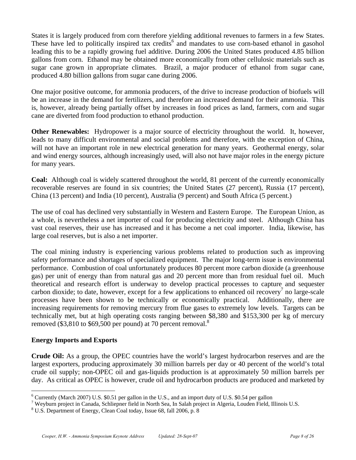States it is largely produced from corn therefore yielding additional revenues to farmers in a few States. These have led to politically inspired tax credits<sup>6</sup> and mandates to use corn-based ethanol in gasohol leading this to be a rapidly growing fuel additive. During 2006 the United States produced 4.85 billion gallons from corn. Ethanol may be obtained more economically from other cellulosic materials such as sugar cane grown in appropriate climates. Brazil, a major producer of ethanol from sugar cane, produced 4.80 billion gallons from sugar cane during 2006.

One major positive outcome, for ammonia producers, of the drive to increase production of biofuels will be an increase in the demand for fertilizers, and therefore an increased demand for their ammonia. This is, however, already being partially offset by increases in food prices as land, farmers, corn and sugar cane are diverted from food production to ethanol production.

**Other Renewables:** Hydropower is a major source of electricity throughout the world. It, however, leads to many difficult environmental and social problems and therefore, with the exception of China, will not have an important role in new electrical generation for many years. Geothermal energy, solar and wind energy sources, although increasingly used, will also not have major roles in the energy picture for many years.

**Coal:** Although coal is widely scattered throughout the world, 81 percent of the currently economically recoverable reserves are found in six countries; the United States (27 percent), Russia (17 percent), China (13 percent) and India (10 percent), Australia (9 percent) and South Africa (5 percent.)

The use of coal has declined very substantially in Western and Eastern Europe. The European Union, as a whole, is nevertheless a net importer of coal for producing electricity and steel. Although China has vast coal reserves, their use has increased and it has become a net coal importer. India, likewise, has large coal reserves, but is also a net importer.

The coal mining industry is experiencing various problems related to production such as improving safety performance and shortages of specialized equipment. The major long-term issue is environmental performance. Combustion of coal unfortunately produces 80 percent more carbon dioxide (a greenhouse gas) per unit of energy than from natural gas and 20 percent more than from residual fuel oil. Much theoretical and research effort is underway to develop practical processes to capture and sequester carbon dioxide; to date, however, except for a few applications to enhanced oil recovery<sup>7</sup> no large-scale processes have been shown to be technically or economically practical. Additionally, there are increasing requirements for removing mercury from flue gases to extremely low levels. Targets can be technically met, but at high operating costs ranging between \$8,380 and \$153,300 per kg of mercury removed (\$3,810 to \$69,500 per pound) at 70 percent removal.<sup>8</sup>

#### **Energy Imports and Exports**

 $\overline{a}$ 

**Crude Oil:** As a group, the OPEC countries have the world's largest hydrocarbon reserves and are the largest exporters, producing approximately 30 million barrels per day or 40 percent of the world's total crude oil supply; non-OPEC oil and gas-liquids production is at approximately 50 million barrels per day. As critical as OPEC is however, crude oil and hydrocarbon products are produced and marketed by

<sup>&</sup>lt;sup>6</sup> Currently (March 2007) U.S. \$0.51 per gallon in the U.S., and an import duty of U.S. \$0.54 per gallon

Weyburn project in Canada, Schliepner field in North Sea, In Salah project in Algeria, Louden Field, Illinois U.S.  $^{8}$  U.S. Department of Fraggy: Clean Cael today, James 68, fall 2006 n. 8

U.S. Department of Energy, Clean Coal today, Issue 68, fall 2006, p. 8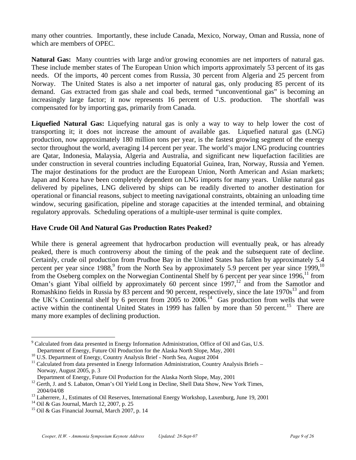many other countries. Importantly, these include Canada, Mexico, Norway, Oman and Russia, none of which are members of OPEC.

**Natural Gas:** Many countries with large and/or growing economies are net importers of natural gas. These include member states of The European Union which imports approximately 53 percent of its gas needs. Of the imports, 40 percent comes from Russia, 30 percent from Algeria and 25 percent from Norway. The United States is also a net importer of natural gas, only producing 85 percent of its demand. Gas extracted from gas shale and coal beds, termed "unconventional gas" is becoming an increasingly large factor; it now represents 16 percent of U.S. production. The shortfall was compensated for by importing gas, primarily from Canada.

**Liquefied Natural Gas:** Liquefying natural gas is only a way to way to help lower the cost of transporting it; it does not increase the amount of available gas. Liquefied natural gas (LNG) production, now approximately 180 million tons per year, is the fastest growing segment of the energy sector throughout the world, averaging 14 percent per year. The world's major LNG producing countries are Qatar, Indonesia, Malaysia, Algeria and Australia, and significant new liquefaction facilities are under construction in several countries including Equatorial Guinea, Iran, Norway, Russia and Yemen. The major destinations for the product are the European Union, North American and Asian markets; Japan and Korea have been completely dependent on LNG imports for many years. Unlike natural gas delivered by pipelines, LNG delivered by ships can be readily diverted to another destination for operational or financial reasons, subject to meeting navigational constraints, obtaining an unloading time window, securing gasification, pipeline and storage capacities at the intended terminal, and obtaining regulatory approvals. Scheduling operations of a multiple-user terminal is quite complex.

#### **Have Crude Oil And Natural Gas Production Rates Peaked?**

While there is general agreement that hydrocarbon production will eventually peak, or has already peaked, there is much controversy about the timing of the peak and the subsequent rate of decline. Certainly, crude oil production from Prudhoe Bay in the United States has fallen by approximately 5.4 percent per year since  $1988$ , from the North Sea by approximately 5.9 percent per year since  $1999$ ,<sup>10</sup> from the Oseberg complex on the Norwegian Continental Shelf by 6 percent per year since  $1996$ <sup>11</sup> from Oman's giant Yibal oilfield by approximately 60 percent since  $1997$ ,<sup>12</sup> and from the Samotlor and Romashkino fields in Russia by 83 percent and 90 percent, respectively, since the late 1970s<sup>13</sup> and from the UK's Continental shelf by 6 percent from 2005 to 2006.<sup>14</sup> Gas production from wells that were active within the continental United States in 1999 has fallen by more than 50 percent.<sup>15</sup> There are many more examples of declining production.

1

<sup>9</sup> Calculated from data presented in Energy Information Administration, Office of Oil and Gas, U.S. Department of Energy, Future Oil Production for the Alaska North Slope, May, 2001

<sup>&</sup>lt;sup>10</sup> U.S. Department of Energy, Country Analysis Brief - North Sea, August 2004

 $11$  Calculated from data presented in Energy Information Administration, Country Analysis Briefs – Norway, August 2005, p. 3

Department of Energy, Future Oil Production for the Alaska North Slope, May, 2001

<sup>&</sup>lt;sup>12</sup> Gerth, J. and S. Labaton, Oman's Oil Yield Long in Decline, Shell Data Show, New York Times, 2004/04/08

<sup>&</sup>lt;sup>13</sup> Laherrere, J., Estimates of Oil Reserves, International Energy Workshop, Laxenburg, June 19, 2001

<sup>14</sup> Oil & Gas Journal, March 12, 2007, p. 25

<sup>&</sup>lt;sup>15</sup> Oil & Gas Financial Journal, March 2007, p. 14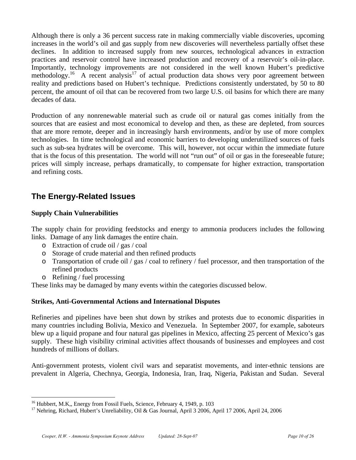Although there is only a 36 percent success rate in making commercially viable discoveries, upcoming increases in the world's oil and gas supply from new discoveries will nevertheless partially offset these declines. In addition to increased supply from new sources, technological advances in extraction practices and reservoir control have increased production and recovery of a reservoir's oil-in-place. Importantly, technology improvements are not considered in the well known Hubert's predictive methodology.<sup>16</sup> A recent analysis<sup>17</sup> of actual production data shows very poor agreement between reality and predictions based on Hubert's technique. Predictions consistently understated, by 50 to 80 percent, the amount of oil that can be recovered from two large U.S. oil basins for which there are many decades of data.

Production of any nonrenewable material such as crude oil or natural gas comes initially from the sources that are easiest and most economical to develop and then, as these are depleted, from sources that are more remote, deeper and in increasingly harsh environments, and/or by use of more complex technologies. In time technological and economic barriers to developing underutilized sources of fuels such as sub-sea hydrates will be overcome. This will, however, not occur within the immediate future that is the focus of this presentation. The world will not "run out" of oil or gas in the foreseeable future; prices will simply increase, perhaps dramatically, to compensate for higher extraction, transportation and refining costs.

## **The Energy-Related Issues**

#### **Supply Chain Vulnerabilities**

The supply chain for providing feedstocks and energy to ammonia producers includes the following links. Damage of any link damages the entire chain.

- o Extraction of crude oil / gas / coal
- o Storage of crude material and then refined products
- o Transportation of crude oil / gas / coal to refinery / fuel processor, and then transportation of the refined products
- o Refining / fuel processing

 $\overline{a}$ 

These links may be damaged by many events within the categories discussed below.

#### **Strikes, Anti-Governmental Actions and International Disputes**

Refineries and pipelines have been shut down by strikes and protests due to economic disparities in many countries including Bolivia, Mexico and Venezuela. In September 2007, for example, saboteurs blew up a liquid propane and four natural gas pipelines in Mexico, affecting 25 percent of Mexico's gas supply. These high visibility criminal activities affect thousands of businesses and employees and cost hundreds of millions of dollars.

Anti-government protests, violent civil wars and separatist movements, and inter-ethnic tensions are prevalent in Algeria, Chechnya, Georgia, Indonesia, Iran, Iraq, Nigeria, Pakistan and Sudan. Several

<sup>&</sup>lt;sup>16</sup> Hubbert, M.K,, Energy from Fossil Fuels, Science, February 4, 1949, p. 103

<sup>&</sup>lt;sup>17</sup> Nehring, Richard, Hubert's Unreliability, Oil & Gas Journal, April 3 2006, April 17 2006, April 24, 2006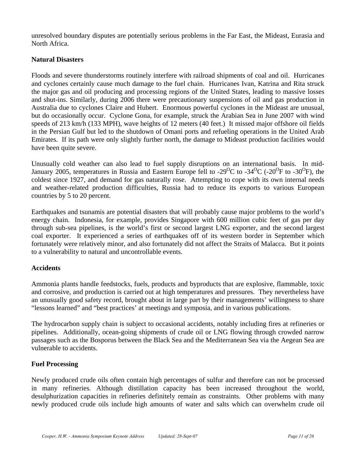unresolved boundary disputes are potentially serious problems in the Far East, the Mideast, Eurasia and North Africa.

#### **Natural Disasters**

Floods and severe thunderstorms routinely interfere with railroad shipments of coal and oil. Hurricanes and cyclones certainly cause much damage to the fuel chain. Hurricanes Ivan, Katrina and Rita struck the major gas and oil producing and processing regions of the United States, leading to massive losses and shut-ins. Similarly, during 2006 there were precautionary suspensions of oil and gas production in Australia due to cyclones Claire and Hubert. Enormous powerful cyclones in the Mideast are unusual, but do occasionally occur. Cyclone Gona, for example, struck the Arabian Sea in June 2007 with wind speeds of 213 km/h (133 MPH), wave heights of 12 meters (40 feet.) It missed major offshore oil fields in the Persian Gulf but led to the shutdown of Omani ports and refueling operations in the United Arab Emirates. If its path were only slightly further north, the damage to Mideast production facilities would have been quite severe.

Unusually cold weather can also lead to fuel supply disruptions on an international basis. In mid-January 2005, temperatures in Russia and Eastern Europe fell to -29<sup>o</sup>C to -34<sup>o</sup>C (-20<sup>o</sup>F to -30<sup>o</sup>F), the coldest since 1927, and demand for gas naturally rose. Attempting to cope with its own internal needs and weather-related production difficulties, Russia had to reduce its exports to various European countries by 5 to 20 percent.

Earthquakes and tsunamis are potential disasters that will probably cause major problems to the world's energy chain. Indonesia, for example, provides Singapore with 600 million cubic feet of gas per day through sub-sea pipelines, is the world's first or second largest LNG exporter, and the second largest coal exporter. It experienced a series of earthquakes off of its western border in September which fortunately were relatively minor, and also fortunately did not affect the Straits of Malacca. But it points to a vulnerability to natural and uncontrollable events.

#### **Accidents**

Ammonia plants handle feedstocks, fuels, products and byproducts that are explosive, flammable, toxic and corrosive, and production is carried out at high temperatures and pressures. They nevertheless have an unusually good safety record, brought about in large part by their managements' willingness to share "lessons learned" and "best practices' at meetings and symposia, and in various publications.

The hydrocarbon supply chain is subject to occasional accidents, notably including fires at refineries or pipelines. Additionally, ocean-going shipments of crude oil or LNG flowing through crowded narrow passages such as the Bosporus between the Black Sea and the Mediterranean Sea via the Aegean Sea are vulnerable to accidents.

#### **Fuel Processing**

Newly produced crude oils often contain high percentages of sulfur and therefore can not be processed in many refineries. Although distillation capacity has been increased throughout the world, desulphurization capacities in refineries definitely remain as constraints. Other problems with many newly produced crude oils include high amounts of water and salts which can overwhelm crude oil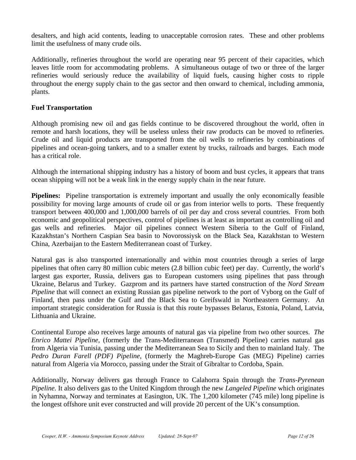desalters, and high acid contents, leading to unacceptable corrosion rates. These and other problems limit the usefulness of many crude oils.

Additionally, refineries throughout the world are operating near 95 percent of their capacities, which leaves little room for accommodating problems. A simultaneous outage of two or three of the larger refineries would seriously reduce the availability of liquid fuels, causing higher costs to ripple throughout the energy supply chain to the gas sector and then onward to chemical, including ammonia, plants.

#### **Fuel Transportation**

Although promising new oil and gas fields continue to be discovered throughout the world, often in remote and harsh locations, they will be useless unless their raw products can be moved to refineries. Crude oil and liquid products are transported from the oil wells to refineries by combinations of pipelines and ocean-going tankers, and to a smaller extent by trucks, railroads and barges. Each mode has a critical role.

Although the international shipping industry has a history of boom and bust cycles, it appears that trans ocean shipping will not be a weak link in the energy supply chain in the near future.

**Pipelines:** Pipeline transportation is extremely important and usually the only economically feasible possibility for moving large amounts of crude oil or gas from interior wells to ports. These frequently transport between 400,000 and 1,000,000 barrels of oil per day and cross several countries. From both economic and geopolitical perspectives, control of pipelines is at least as important as controlling oil and gas wells and refineries. Major oil pipelines connect Western Siberia to the Gulf of Finland, Kazakhstan's Northern Caspian Sea basin to Novorossiysk on the Black Sea, Kazakhstan to Western China, Azerbaijan to the Eastern Mediterranean coast of Turkey.

Natural gas is also transported internationally and within most countries through a series of large pipelines that often carry 80 million cubic meters (2.8 billion cubic feet) per day. Currently, the world's largest gas exporter, Russia, delivers gas to European customers using pipelines that pass through Ukraine, Belarus and Turkey. Gazprom and its partners have started construction of the *Nord Stream Pipeline* that will connect an existing Russian gas pipeline network to the port of Vyborg on the Gulf of Finland, then pass under the Gulf and the Black Sea to Greifswald in Northeastern Germany. An important strategic consideration for Russia is that this route bypasses Belarus, Estonia, Poland, Latvia, Lithuania and Ukraine.

Continental Europe also receives large amounts of natural gas via pipeline from two other sources. *The Enrico Mattei Pipeline*, (formerly the Trans-Mediterranean (Transmed) Pipeline) carries natural gas from Algeria via Tunisia, passing under the Mediterranean Sea to Sicily and then to mainland Italy. The *Pedro Duran Farell (PDF) Pipeline*, (formerly the Maghreb-Europe Gas (MEG) Pipeline) carries natural from Algeria via Morocco, passing under the Strait of Gibraltar to Cordoba, Spain.

Additionally, Norway delivers gas through France to Calahorra Spain through the *Trans-Pyrenean Pipeline.* It also delivers gas to the United Kingdom through the new *Langeled Pipeline* which originates in Nyhamna, Norway and terminates at Easington, UK. The 1,200 kilometer (745 mile) long pipeline is the longest offshore unit ever constructed and will provide 20 percent of the UK's consumption.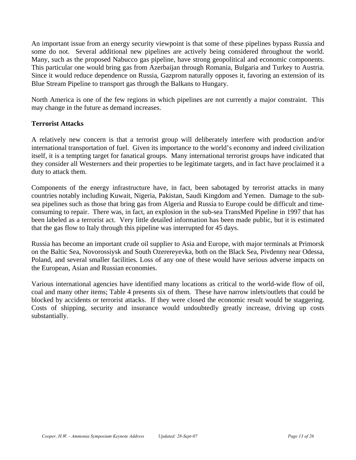An important issue from an energy security viewpoint is that some of these pipelines bypass Russia and some do not. Several additional new pipelines are actively being considered throughout the world. Many, such as the proposed Nabucco gas pipeline, have strong geopolitical and economic components. This particular one would bring gas from Azerbaijan through Romania, Bulgaria and Turkey to Austria. Since it would reduce dependence on Russia, Gazprom naturally opposes it, favoring an extension of its Blue Stream Pipeline to transport gas through the Balkans to Hungary.

North America is one of the few regions in which pipelines are not currently a major constraint. This may change in the future as demand increases.

#### **Terrorist Attacks**

A relatively new concern is that a terrorist group will deliberately interfere with production and/or international transportation of fuel. Given its importance to the world's economy and indeed civilization itself, it is a tempting target for fanatical groups. Many international terrorist groups have indicated that they consider all Westerners and their properties to be legitimate targets, and in fact have proclaimed it a duty to attack them.

Components of the energy infrastructure have, in fact, been sabotaged by terrorist attacks in many countries notably including Kuwait, Nigeria, Pakistan, Saudi Kingdom and Yemen. Damage to the subsea pipelines such as those that bring gas from Algeria and Russia to Europe could be difficult and timeconsuming to repair. There was, in fact, an explosion in the sub-sea TransMed Pipeline in 1997 that has been labeled as a terrorist act. Very little detailed information has been made public, but it is estimated that the gas flow to Italy through this pipeline was interrupted for 45 days.

Russia has become an important crude oil supplier to Asia and Europe, with major terminals at Primorsk on the Baltic Sea, Novorossiysk and South Ozerereyevka, both on the Black Sea, Pivdenny near Odessa, Poland, and several smaller facilities. Loss of any one of these would have serious adverse impacts on the European, Asian and Russian economies.

Various international agencies have identified many locations as critical to the world-wide flow of oil, coal and many other items; Table 4 presents six of them. These have narrow inlets/outlets that could be blocked by accidents or terrorist attacks. If they were closed the economic result would be staggering. Costs of shipping, security and insurance would undoubtedly greatly increase, driving up costs substantially.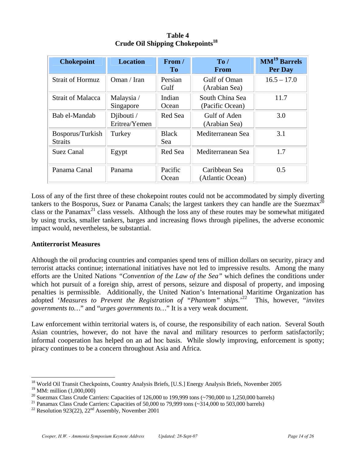| <b>Chokepoint</b>                  | <b>Location</b>                                    | From /<br>T <sub>0</sub> | To/<br><b>From</b>                 | $MM19$ Barrels<br>Per Day |
|------------------------------------|----------------------------------------------------|--------------------------|------------------------------------|---------------------------|
| <b>Strait of Hormuz</b>            | Oman / Iran                                        | Persian<br>Gulf          | Gulf of Oman<br>(Arabian Sea)      | $16.5 - 17.0$             |
| <b>Strait of Malacca</b>           | Malaysia /<br>Singapore                            | Indian<br>Ocean          | South China Sea<br>(Pacific Ocean) | 11.7                      |
| Bab el-Mandab                      | Djibouti $\overline{\phantom{a}}$<br>Eritrea/Yemen | Red Sea                  | Gulf of Aden<br>(Arabian Sea)      | 3.0                       |
| Bosporus/Turkish<br><b>Straits</b> | Turkey                                             | <b>Black</b><br>Sea      | Mediterranean Sea                  | 3.1                       |
| <b>Suez Canal</b>                  | Egypt                                              | Red Sea                  | Mediterranean Sea                  | 1.7                       |
| Panama Canal                       | Panama                                             | Pacific<br>Ocean         | Caribbean Sea<br>(Atlantic Ocean)  | 0.5                       |

**Table 4 Crude Oil Shipping Chokepoints18**

Loss of any of the first three of these chokepoint routes could not be accommodated by simply diverting tankers to the Bosporus, Suez or Panama Canals; the largest tankers they can handle are the Suezmax<sup>20</sup> class or the Panamax<sup>21</sup> class vessels. Although the loss any of these routes may be somewhat mitigated by using trucks, smaller tankers, barges and increasing flows through pipelines, the adverse economic impact would, nevertheless, be substantial.

#### **Antiterrorist Measures**

 $\overline{a}$ 

Although the oil producing countries and companies spend tens of million dollars on security, piracy and terrorist attacks continue; international initiatives have not led to impressive results. Among the many efforts are the United Nations *"Convention of the Law of the Sea"* which defines the conditions under which hot pursuit of a foreign ship, arrest of persons, seizure and disposal of property, and imposing penalties is permissible. Additionally, the United Nation's International Maritime Organization has adopted '*Measures to Prevent the Registration of "Phantom" ships.*' 22 This, however, "*invites governments to…*" and "*urges governments to…*" It is a very weak document.

Law enforcement within territorial waters is, of course, the responsibility of each nation. Several South Asian countries, however, do not have the naval and military resources to perform satisfactorily; informal cooperation has helped on an ad hoc basis. While slowly improving, enforcement is spotty; piracy continues to be a concern throughout Asia and Africa.

<sup>&</sup>lt;sup>18</sup> World Oil Transit Checkpoints, Country Analysis Briefs, [U.S.] Energy Analysis Briefs, November 2005

<sup>&</sup>lt;sup>19</sup> MM: million  $(1,000,000)$ <br><sup>20</sup> Suezmax Class Crude Carriers: Capacities of 126,000 to 199,999 tons (~790,000 to 1,250,000 barrels)

<sup>&</sup>lt;sup>21</sup> Panamax Class Crude Carriers: Capacities of 50,000 to 79,999 tons ( $\sim$ 314,000 to 503,000 barrels)

<sup>&</sup>lt;sup>22</sup> Resolution 923(22),  $22<sup>nd</sup>$  Assembly, November 2001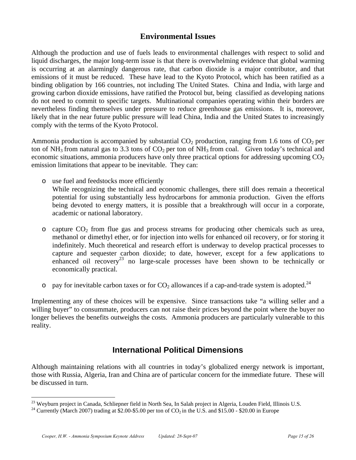### **Environmental Issues**

Although the production and use of fuels leads to environmental challenges with respect to solid and liquid discharges, the major long-term issue is that there is overwhelming evidence that global warming is occurring at an alarmingly dangerous rate, that carbon dioxide is a major contributor, and that emissions of it must be reduced. These have lead to the Kyoto Protocol, which has been ratified as a binding obligation by 166 countries, not including The United States. China and India, with large and growing carbon dioxide emissions, have ratified the Protocol but, being classified as developing nations do not need to commit to specific targets. Multinational companies operating within their borders are nevertheless finding themselves under pressure to reduce greenhouse gas emissions. It is, moreover, likely that in the near future public pressure will lead China, India and the United States to increasingly comply with the terms of the Kyoto Protocol.

Ammonia production is accompanied by substantial  $CO<sub>2</sub>$  production, ranging from 1.6 tons of  $CO<sub>2</sub>$  per ton of NH<sub>3</sub> from natural gas to 3.3 tons of  $CO_2$  per ton of NH<sub>3</sub> from coal. Given today's technical and economic situations, ammonia producers have only three practical options for addressing upcoming  $CO<sub>2</sub>$ emission limitations that appear to be inevitable. They can:

o use fuel and feedstocks more efficiently

While recognizing the technical and economic challenges, there still does remain a theoretical potential for using substantially less hydrocarbons for ammonia production. Given the efforts being devoted to energy matters, it is possible that a breakthrough will occur in a corporate, academic or national laboratory.

- $\circ$  capture  $CO<sub>2</sub>$  from flue gas and process streams for producing other chemicals such as urea, methanol or dimethyl ether, or for injection into wells for enhanced oil recovery, or for storing it indefinitely. Much theoretical and research effort is underway to develop practical processes to capture and sequester carbon dioxide; to date, however, except for a few applications to enhanced oil recovery<sup>23</sup> no large-scale processes have been shown to be technically or economically practical.
- o pay for inevitable carbon taxes or for  $CO<sub>2</sub>$  allowances if a cap-and-trade system is adopted.<sup>24</sup>

Implementing any of these choices will be expensive. Since transactions take "a willing seller and a willing buyer" to consummate, producers can not raise their prices beyond the point where the buyer no longer believes the benefits outweighs the costs. Ammonia producers are particularly vulnerable to this reality.

## **International Political Dimensions**

Although maintaining relations with all countries in today's globalized energy network is important, those with Russia, Algeria, Iran and China are of particular concern for the immediate future. These will be discussed in turn.

 $\overline{a}$ 

<sup>&</sup>lt;sup>23</sup> Weyburn project in Canada, Schliepner field in North Sea, In Salah project in Algeria, Louden Field, Illinois U.S. <sup>24</sup> Currently (March 2007) trading at \$2.00-\$5.00 per ton of CO<sub>2</sub> in the U.S. and \$15.00 - \$20.00 i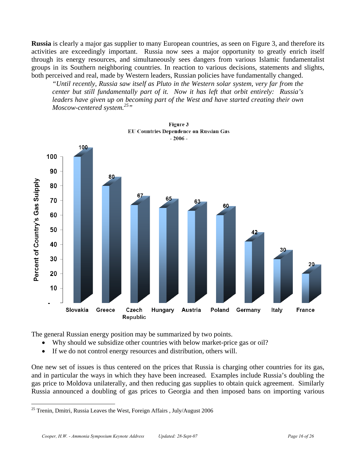**Russia** is clearly a major gas supplier to many European countries, as seen on Figure 3, and therefore its activities are exceedingly important. Russia now sees a major opportunity to greatly enrich itself through its energy resources, and simultaneously sees dangers from various Islamic fundamentalist groups in its Southern neighboring countries. In reaction to various decisions, statements and slights, both perceived and real, made by Western leaders, Russian policies have fundamentally changed.

*"Until recently, Russia saw itself as Pluto in the Western solar system, very far from the center but still fundamentally part of it. Now it has left that orbit entirely: Russia's leaders have given up on becoming part of the West and have started creating their own Moscow-centered system.25"*



Figure 3 **EU Countries Dependence on Russian Gas** 

The general Russian energy position may be summarized by two points.

- Why should we subsidize other countries with below market-price gas or oil?
- If we do not control energy resources and distribution, others will.

One new set of issues is thus centered on the prices that Russia is charging other countries for its gas, and in particular the ways in which they have been increased. Examples include Russia's doubling the gas price to Moldova unilaterally, and then reducing gas supplies to obtain quick agreement. Similarly Russia announced a doubling of gas prices to Georgia and then imposed bans on importing various

1

<sup>&</sup>lt;sup>25</sup> Trenin, Dmitri, Russia Leaves the West, Foreign Affairs, July/August 2006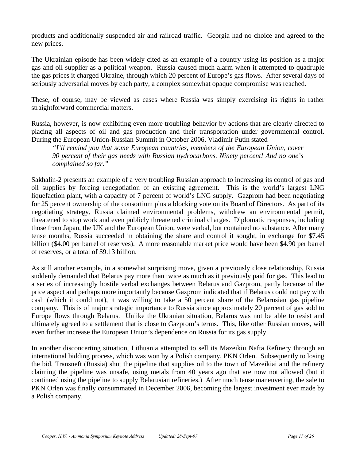products and additionally suspended air and railroad traffic. Georgia had no choice and agreed to the new prices.

The Ukrainian episode has been widely cited as an example of a country using its position as a major gas and oil supplier as a political weapon. Russia caused much alarm when it attempted to quadruple the gas prices it charged Ukraine, through which 20 percent of Europe's gas flows. After several days of seriously adversarial moves by each party, a complex somewhat opaque compromise was reached.

These, of course, may be viewed as cases where Russia was simply exercising its rights in rather straightforward commercial matters.

Russia, however, is now exhibiting even more troubling behavior by actions that are clearly directed to placing all aspects of oil and gas production and their transportation under governmental control. During the European Union-Russian Summit in October 2006, Vladimir Putin stated

*"I'll remind you that some European countries, members of the European Union, cover 90 percent of their gas needs with Russian hydrocarbons. Ninety percent! And no one's complained so far."*

Sakhalin-2 presents an example of a very troubling Russian approach to increasing its control of gas and oil supplies by forcing renegotiation of an existing agreement. This is the world's largest LNG liquefaction plant, with a capacity of 7 percent of world's LNG supply. Gazprom had been negotiating for 25 percent ownership of the consortium plus a blocking vote on its Board of Directors. As part of its negotiating strategy, Russia claimed environmental problems, withdrew an environmental permit, threatened to stop work and even publicly threatened criminal charges. Diplomatic responses, including those from Japan, the UK and the European Union, were verbal, but contained no substance. After many tense months, Russia succeeded in obtaining the share and control it sought, in exchange for \$7.45 billion (\$4.00 per barrel of reserves). A more reasonable market price would have been \$4.90 per barrel of reserves, or a total of \$9.13 billion.

As still another example, in a somewhat surprising move, given a previously close relationship, Russia suddenly demanded that Belarus pay more than twice as much as it previously paid for gas. This lead to a series of increasingly hostile verbal exchanges between Belarus and Gazprom, partly because of the price aspect and perhaps more importantly because Gazprom indicated that if Belarus could not pay with cash (which it could not), it was willing to take a 50 percent share of the Belarusian gas pipeline company. This is of major strategic importance to Russia since approximately 20 percent of gas sold to Europe flows through Belarus. Unlike the Ukranian situation, Belarus was not be able to resist and ultimately agreed to a settlement that is close to Gazprom's terms. This, like other Russian moves, will even further increase the European Union's dependence on Russia for its gas supply.

In another disconcerting situation, Lithuania attempted to sell its Mazeikiu Nafta Refinery through an international bidding process, which was won by a Polish company, PKN Orlen. Subsequently to losing the bid, Transneft (Russia) shut the pipeline that supplies oil to the town of Mazeikiai and the refinery claiming the pipeline was unsafe, using metals from 40 years ago that are now not allowed (but it continued using the pipeline to supply Belarusian refineries.) After much tense maneuvering, the sale to PKN Orlen was finally consummated in December 2006, becoming the largest investment ever made by a Polish company.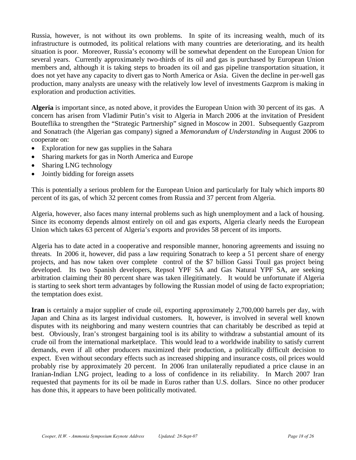Russia, however, is not without its own problems. In spite of its increasing wealth, much of its infrastructure is outmoded, its political relations with many countries are deteriorating, and its health situation is poor. Moreover, Russia's economy will be somewhat dependent on the European Union for several years. Currently approximately two-thirds of its oil and gas is purchased by European Union members and, although it is taking steps to broaden its oil and gas pipeline transportation situation, it does not yet have any capacity to divert gas to North America or Asia. Given the decline in per-well gas production, many analysts are uneasy with the relatively low level of investments Gazprom is making in exploration and production activities.

**Algeria** is important since, as noted above, it provides the European Union with 30 percent of its gas. A concern has arisen from Vladimir Putin's visit to Algeria in March 2006 at the invitation of President Bouteflika to strengthen the "Strategic Partnership" signed in Moscow in 2001. Subsequently Gazprom and Sonatrach (the Algerian gas company) signed a *Memorandum of Understanding* in August 2006 to cooperate on:

- Exploration for new gas supplies in the Sahara
- Sharing markets for gas in North America and Europe
- Sharing LNG technology
- Jointly bidding for foreign assets

This is potentially a serious problem for the European Union and particularly for Italy which imports 80 percent of its gas, of which 32 percent comes from Russia and 37 percent from Algeria.

Algeria, however, also faces many internal problems such as high unemployment and a lack of housing. Since its economy depends almost entirely on oil and gas exports, Algeria clearly needs the European Union which takes 63 percent of Algeria's exports and provides 58 percent of its imports.

Algeria has to date acted in a cooperative and responsible manner, honoring agreements and issuing no threats. In 2006 it, however, did pass a law requiring Sonatrach to keep a 51 percent share of energy projects, and has now taken over complete control of the \$7 billion Gassi Touil gas project being developed. Its two Spanish developers, Repsol YPF SA and Gas Natural YPF SA, are seeking arbitration claiming their 80 percent share was taken illegitimately. It would be unfortunate if Algeria is starting to seek short term advantages by following the Russian model of using de facto expropriation; the temptation does exist.

**Iran** is certainly a major supplier of crude oil, exporting approximately 2,700,000 barrels per day, with Japan and China as its largest individual customers. It, however, is involved in several well known disputes with its neighboring and many western countries that can charitably be described as tepid at best. Obviously, Iran's strongest bargaining tool is its ability to withdraw a substantial amount of its crude oil from the international marketplace. This would lead to a worldwide inability to satisfy current demands, even if all other producers maximized their production, a politically difficult decision to expect. Even without secondary effects such as increased shipping and insurance costs, oil prices would probably rise by approximately 20 percent. In 2006 Iran unilaterally repudiated a price clause in an Iranian-Indian LNG project, leading to a loss of confidence in its reliability. In March 2007 Iran requested that payments for its oil be made in Euros rather than U.S. dollars. Since no other producer has done this, it appears to have been politically motivated.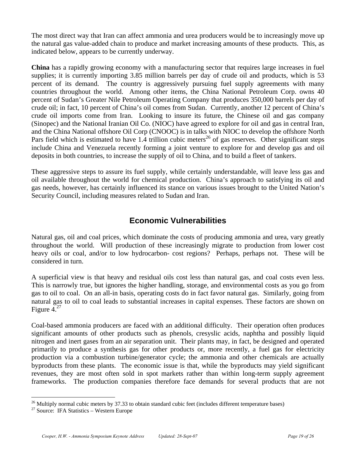The most direct way that Iran can affect ammonia and urea producers would be to increasingly move up the natural gas value-added chain to produce and market increasing amounts of these products. This, as indicated below, appears to be currently underway.

**China** has a rapidly growing economy with a manufacturing sector that requires large increases in fuel supplies; it is currently importing 3.85 million barrels per day of crude oil and products, which is 53 percent of its demand. The country is aggressively pursuing fuel supply agreements with many countries throughout the world. Among other items, the China National Petroleum Corp. owns 40 percent of Sudan's Greater Nile Petroleum Operating Company that produces 350,000 barrels per day of crude oil; in fact, 10 percent of China's oil comes from Sudan. Currently, another 12 percent of China's crude oil imports come from Iran. Looking to insure its future, the Chinese oil and gas company (Sinopec) and the National Iranian Oil Co. (NIOC) have agreed to explore for oil and gas in central Iran, and the China National offshore Oil Corp (CNOOC) is in talks with NIOC to develop the offshore North Pars field which is estimated to have 1.4 trillion cubic meters<sup>26</sup> of gas reserves. Other significant steps include China and Venezuela recently forming a joint venture to explore for and develop gas and oil deposits in both countries, to increase the supply of oil to China, and to build a fleet of tankers.

These aggressive steps to assure its fuel supply, while certainly understandable, will leave less gas and oil available throughout the world for chemical production. China's approach to satisfying its oil and gas needs, however, has certainly influenced its stance on various issues brought to the United Nation's Security Council, including measures related to Sudan and Iran.

## **Economic Vulnerabilities**

Natural gas, oil and coal prices, which dominate the costs of producing ammonia and urea, vary greatly throughout the world. Will production of these increasingly migrate to production from lower cost heavy oils or coal, and/or to low hydrocarbon- cost regions? Perhaps, perhaps not. These will be considered in turn.

A superficial view is that heavy and residual oils cost less than natural gas, and coal costs even less. This is narrowly true, but ignores the higher handling, storage, and environmental costs as you go from gas to oil to coal. On an all-in basis, operating costs do in fact favor natural gas. Similarly, going from natural gas to oil to coal leads to substantial increases in capital expenses. These factors are shown on Figure  $4.^{27}$ 

Coal-based ammonia producers are faced with an additional difficulty. Their operation often produces significant amounts of other products such as phenols, cresyslic acids, naphtha and possibly liquid nitrogen and inert gases from an air separation unit. Their plants may, in fact, be designed and operated primarily to produce a synthesis gas for other products or, more recently, a fuel gas for electricity production via a combustion turbine/generator cycle; the ammonia and other chemicals are actually byproducts from these plants. The economic issue is that, while the byproducts may yield significant revenues, they are most often sold in spot markets rather than within long-term supply agreement frameworks. The production companies therefore face demands for several products that are not

1

<sup>&</sup>lt;sup>26</sup> Multiply normal cubic meters by 37.33 to obtain standard cubic feet (includes different temperature bases)  $27$  Source: IFA Statistics – Western Europe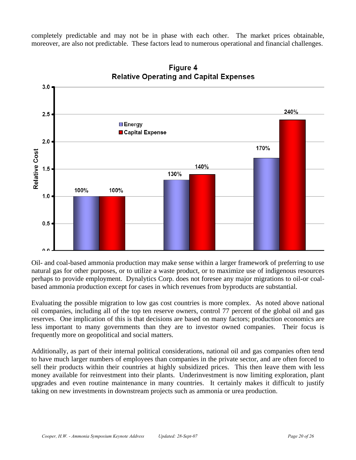completely predictable and may not be in phase with each other. The market prices obtainable, moreover, are also not predictable. These factors lead to numerous operational and financial challenges.



Figure 4 **Relative Operating and Capital Expenses** 

Oil- and coal-based ammonia production may make sense within a larger framework of preferring to use natural gas for other purposes, or to utilize a waste product, or to maximize use of indigenous resources perhaps to provide employment. Dynalytics Corp. does not foresee any major migrations to oil-or coalbased ammonia production except for cases in which revenues from byproducts are substantial.

Evaluating the possible migration to low gas cost countries is more complex. As noted above national oil companies, including all of the top ten reserve owners, control 77 percent of the global oil and gas reserves. One implication of this is that decisions are based on many factors; production economics are less important to many governments than they are to investor owned companies. Their focus is frequently more on geopolitical and social matters.

Additionally, as part of their internal political considerations, national oil and gas companies often tend to have much larger numbers of employees than companies in the private sector, and are often forced to sell their products within their countries at highly subsidized prices. This then leave them with less money available for reinvestment into their plants. Underinvestment is now limiting exploration, plant upgrades and even routine maintenance in many countries. It certainly makes it difficult to justify taking on new investments in downstream projects such as ammonia or urea production.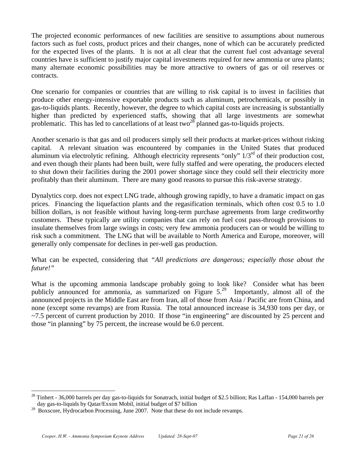The projected economic performances of new facilities are sensitive to assumptions about numerous factors such as fuel costs, product prices and their changes, none of which can be accurately predicted for the expected lives of the plants. It is not at all clear that the current fuel cost advantage several countries have is sufficient to justify major capital investments required for new ammonia or urea plants; many alternate economic possibilities may be more attractive to owners of gas or oil reserves or contracts.

One scenario for companies or countries that are willing to risk capital is to invest in facilities that produce other energy-intensive exportable products such as aluminum, petrochemicals, or possibly in gas-to-liquids plants. Recently, however, the degree to which capital costs are increasing is substantially higher than predicted by experienced staffs, showing that all large investments are somewhat problematic. This has led to cancellations of at least two<sup>28</sup> planned gas-to-liquids projects.

Another scenario is that gas and oil producers simply sell their products at market-prices without risking capital. A relevant situation was encountered by companies in the United States that produced aluminum via electrolytic refining. Although electricity represents "only"  $1/3^{rd}$  of their production cost, and even though their plants had been built, were fully staffed and were operating, the producers elected to shut down their facilities during the 2001 power shortage since they could sell their electricity more profitably than their aluminum. There are many good reasons to pursue this risk-averse strategy.

Dynalytics corp. does not expect LNG trade, although growing rapidly, to have a dramatic impact on gas prices. Financing the liquefaction plants and the regasification terminals, which often cost 0.5 to 1.0 billion dollars, is not feasible without having long-term purchase agreements from large creditworthy customers. These typically are utility companies that can rely on fuel cost pass-through provisions to insulate themselves from large swings in costs; very few ammonia producers can or would be willing to risk such a commitment. The LNG that will be available to North America and Europe, moreover, will generally only compensate for declines in per-well gas production.

What can be expected, considering that *"All predictions are dangerous; especially those about the future!"* 

What is the upcoming ammonia landscape probably going to look like? Consider what has been publicly announced for ammonia, as summarized on Figure  $5.<sup>29</sup>$  Importantly, almost all of the announced projects in the Middle East are from Iran, all of those from Asia / Pacific are from China, and none (except some revamps) are from Russia. The total announced increase is 34,930 tons per day, or ~7.5 percent of current production by 2010. If those "in engineering" are discounted by 25 percent and those "in planning" by 75 percent, the increase would be 6.0 percent.

 $\overline{a}$ 

<sup>28</sup> Tinhert - 36,000 barrels per day gas-to-liquids for Sonatrach, initial budget of \$2.5 billion; Ras Laffan - 154,000 barrels per day gas-to-liquids by Qatar/Exxon Mobil, initial budget of \$7 billion

<sup>&</sup>lt;sup>29</sup> Boxscore, Hydrocarbon Processing, June 2007. Note that these do not include revamps.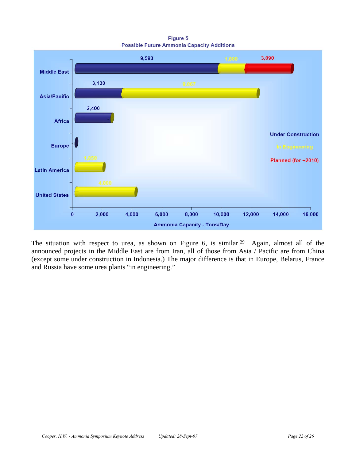Figure 5 **Possible Future Ammonia Capacity Additions** 



The situation with respect to urea, as shown on Figure 6, is similar.<sup>29</sup> Again, almost all of the announced projects in the Middle East are from Iran, all of those from Asia / Pacific are from China (except some under construction in Indonesia.) The major difference is that in Europe, Belarus, France and Russia have some urea plants "in engineering."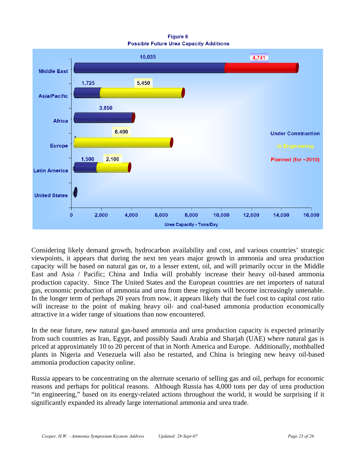Figure 6 **Possible Future Urea Capacity Additions** 



Considering likely demand growth, hydrocarbon availability and cost, and various countries' strategic viewpoints, it appears that during the next ten years major growth in ammonia and urea production capacity will be based on natural gas or, to a lesser extent, oil, and will primarily occur in the Middle East and Asia / Pacific; China and India will probably increase their heavy oil-based ammonia production capacity. Since The United States and the European countries are net importers of natural gas, economic production of ammonia and urea from these regions will become increasingly untenable. In the longer term of perhaps 20 years from now, it appears likely that the fuel cost to capital cost ratio will increase to the point of making heavy oil- and coal-based ammonia production economically attractive in a wider range of situations than now encountered.

In the near future, new natural gas-based ammonia and urea production capacity is expected primarily from such countries as Iran, Egypt, and possibly Saudi Arabia and Sharjah (UAE) where natural gas is priced at approximately 10 to 20 percent of that in North America and Europe. Additionally, mothballed plants in Nigeria and Venezuela will also be restarted, and China is bringing new heavy oil-based ammonia production capacity online.

Russia appears to be concentrating on the alternate scenario of selling gas and oil, perhaps for economic reasons and perhaps for political reasons. Although Russia has 4,000 tons per day of urea production "in engineering," based on its energy-related actions throughout the world, it would be surprising if it significantly expanded its already large international ammonia and urea trade.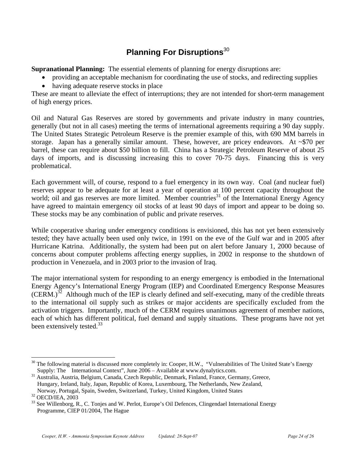## **Planning For Disruptions**<sup>30</sup>

**Supranational Planning:** The essential elements of planning for energy disruptions are:

- providing an acceptable mechanism for coordinating the use of stocks, and redirecting supplies
- having adequate reserve stocks in place

These are meant to alleviate the effect of interruptions; they are not intended for short-term management of high energy prices.

Oil and Natural Gas Reserves are stored by governments and private industry in many countries, generally (but not in all cases) meeting the terms of international agreements requiring a 90 day supply. The United States Strategic Petroleum Reserve is the premier example of this, with 690 MM barrels in storage. Japan has a generally similar amount. These, however, are pricey endeavors. At  $\sim$ \$70 per barrel, these can require about \$50 billion to fill. China has a Strategic Petroleum Reserve of about 25 days of imports, and is discussing increasing this to cover 70-75 days. Financing this is very problematical.

Each government will, of course, respond to a fuel emergency in its own way. Coal (and nuclear fuel) reserves appear to be adequate for at least a year of operation at 100 percent capacity throughout the world; oil and gas reserves are more limited. Member countries<sup>31</sup> of the International Energy Agency have agreed to maintain emergency oil stocks of at least 90 days of import and appear to be doing so. These stocks may be any combination of public and private reserves.

While cooperative sharing under emergency conditions is envisioned, this has not yet been extensively tested; they have actually been used only twice, in 1991 on the eve of the Gulf war and in 2005 after Hurricane Katrina. Additionally, the system had been put on alert before January 1, 2000 because of concerns about computer problems affecting energy supplies, in 2002 in response to the shutdown of production in Venezuela, and in 2003 prior to the invasion of Iraq.

The major international system for responding to an energy emergency is embodied in the International Energy Agency's International Energy Program (IEP) and Coordinated Emergency Response Measures  $(CERM.)^{32}$  Although much of the IEP is clearly defined and self-executing, many of the credible threats to the international oil supply such as strikes or major accidents are specifically excluded from the activation triggers. Importantly, much of the CERM requires unanimous agreement of member nations, each of which has different political, fuel demand and supply situations. These programs have not yet been extensively tested.<sup>33</sup>

1

 $30$  The following material is discussed more completely in: Cooper, H.W., "Vulnerabilities of The United State's Energy Supply: The International Context", June 2006 – Available at www.dynalytics.com.

<sup>&</sup>lt;sup>31</sup> Australia, Austria, Belgium, Canada, Czech Republic, Denmark, Finland, France, Germany, Greece, Hungary, Ireland, Italy, Japan, Republic of Korea, Luxembourg, The Netherlands, New Zealand, Norway, Portugal, Spain, Sweden, Switzerland, Turkey, United Kingdom, United States

<sup>32</sup> OECD/IEA, 2003

<sup>&</sup>lt;sup>33</sup> See Willenborg, R., C. Tonjes and W. Perlot, Europe's Oil Defences, Clingendael International Energy Programme, CIEP 01/2004, The Hague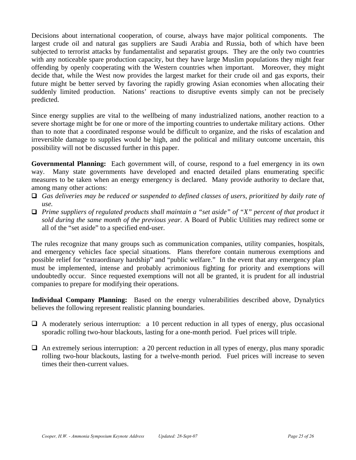Decisions about international cooperation, of course, always have major political components. The largest crude oil and natural gas suppliers are Saudi Arabia and Russia, both of which have been subjected to terrorist attacks by fundamentalist and separatist groups. They are the only two countries with any noticeable spare production capacity, but they have large Muslim populations they might fear offending by openly cooperating with the Western countries when important. Moreover, they might decide that, while the West now provides the largest market for their crude oil and gas exports, their future might be better served by favoring the rapidly growing Asian economies when allocating their suddenly limited production. Nations' reactions to disruptive events simply can not be precisely predicted.

Since energy supplies are vital to the wellbeing of many industrialized nations, another reaction to a severe shortage might be for one or more of the importing countries to undertake military actions. Other than to note that a coordinated response would be difficult to organize, and the risks of escalation and irreversible damage to supplies would be high, and the political and military outcome uncertain, this possibility will not be discussed further in this paper.

**Governmental Planning:** Each government will, of course, respond to a fuel emergency in its own way. Many state governments have developed and enacted detailed plans enumerating specific measures to be taken when an energy emergency is declared. Many provide authority to declare that, among many other actions:

- *Gas deliveries may be reduced or suspended to defined classes of users, prioritized by daily rate of use.*
- *Prime suppliers of regulated products shall maintain a "set aside" of "X" percent of that product it sold during the same month of the previous year.* A Board of Public Utilities may redirect some or all of the "set aside" to a specified end-user.

The rules recognize that many groups such as communication companies, utility companies, hospitals, and emergency vehicles face special situations. Plans therefore contain numerous exemptions and possible relief for "extraordinary hardship" and "public welfare." In the event that any emergency plan must be implemented, intense and probably acrimonious fighting for priority and exemptions will undoubtedly occur. Since requested exemptions will not all be granted, it is prudent for all industrial companies to prepare for modifying their operations.

**Individual Company Planning:** Based on the energy vulnerabilities described above, Dynalytics believes the following represent realistic planning boundaries.

- $\Box$  A moderately serious interruption: a 10 percent reduction in all types of energy, plus occasional sporadic rolling two-hour blackouts, lasting for a one-month period. Fuel prices will triple.
- $\Box$  An extremely serious interruption: a 20 percent reduction in all types of energy, plus many sporadic rolling two-hour blackouts, lasting for a twelve-month period. Fuel prices will increase to seven times their then-current values.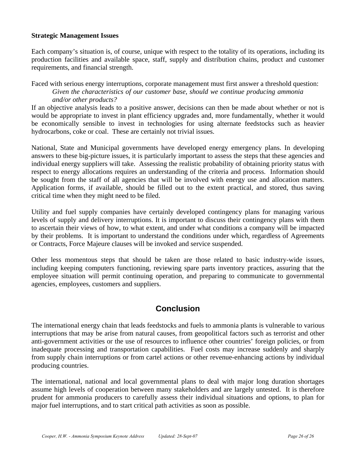#### **Strategic Management Issues**

Each company's situation is, of course, unique with respect to the totality of its operations, including its production facilities and available space, staff, supply and distribution chains, product and customer requirements, and financial strength.

Faced with serious energy interruptions, corporate management must first answer a threshold question: *Given the characteristics of our customer base, should we continue producing ammonia and/or other products?* 

If an objective analysis leads to a positive answer, decisions can then be made about whether or not is would be appropriate to invest in plant efficiency upgrades and, more fundamentally, whether it would be economically sensible to invest in technologies for using alternate feedstocks such as heavier hydrocarbons, coke or coal. These are certainly not trivial issues.

National, State and Municipal governments have developed energy emergency plans. In developing answers to these big-picture issues, it is particularly important to assess the steps that these agencies and individual energy suppliers will take. Assessing the realistic probability of obtaining priority status with respect to energy allocations requires an understanding of the criteria and process. Information should be sought from the staff of all agencies that will be involved with energy use and allocation matters. Application forms, if available, should be filled out to the extent practical, and stored, thus saving critical time when they might need to be filed.

Utility and fuel supply companies have certainly developed contingency plans for managing various levels of supply and delivery interruptions. It is important to discuss their contingency plans with them to ascertain their views of how, to what extent, and under what conditions a company will be impacted by their problems. It is important to understand the conditions under which, regardless of Agreements or Contracts, Force Majeure clauses will be invoked and service suspended.

Other less momentous steps that should be taken are those related to basic industry-wide issues, including keeping computers functioning, reviewing spare parts inventory practices, assuring that the employee situation will permit continuing operation, and preparing to communicate to governmental agencies, employees, customers and suppliers.

## **Conclusion**

The international energy chain that leads feedstocks and fuels to ammonia plants is vulnerable to various interruptions that may be arise from natural causes, from geopolitical factors such as terrorist and other anti-government activities or the use of resources to influence other countries' foreign policies, or from inadequate processing and transportation capabilities. Fuel costs may increase suddenly and sharply from supply chain interruptions or from cartel actions or other revenue-enhancing actions by individual producing countries.

The international, national and local governmental plans to deal with major long duration shortages assume high levels of cooperation between many stakeholders and are largely untested. It is therefore prudent for ammonia producers to carefully assess their individual situations and options, to plan for major fuel interruptions, and to start critical path activities as soon as possible.